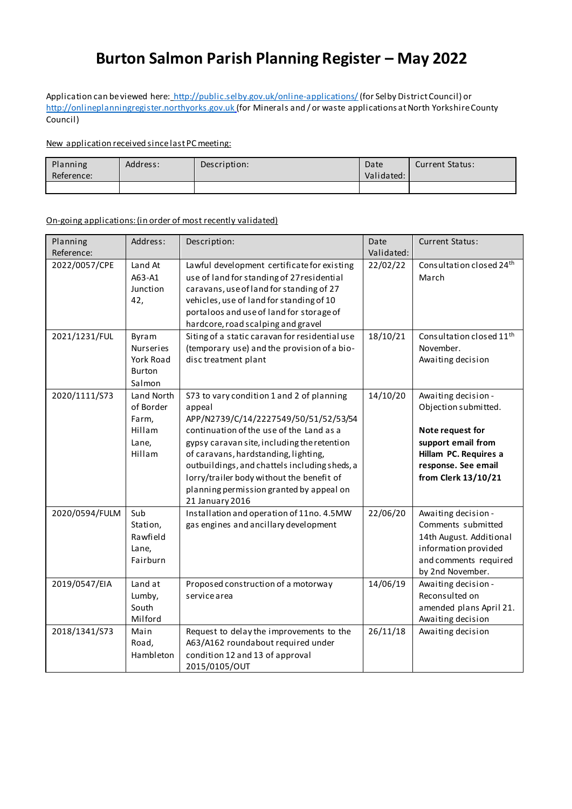# **Burton Salmon Parish Planning Register – May 2022**

Application can be viewed here: <http://public.selby.gov.uk/online-applications/>(for Selby District Council) or [http://onlineplanningregister.northyorks.gov.uk](http://onlineplanningregister.northyorks.gov.uk/) (for Minerals and / or waste applications at North Yorkshire County Council)

### New application received since last PC meeting:

| Planning<br>Reference: | Address: | Description: | Date<br>Validated: | <b>Current Status:</b> |
|------------------------|----------|--------------|--------------------|------------------------|
|                        |          |              |                    |                        |

#### On-going applications:(in order of most recently validated)

| Planning                       | Address:                                                      | Description:                                                                                                                                                                                                                                                                                                                                                                                 | Date                 | <b>Current Status:</b>                                                                                                                                       |
|--------------------------------|---------------------------------------------------------------|----------------------------------------------------------------------------------------------------------------------------------------------------------------------------------------------------------------------------------------------------------------------------------------------------------------------------------------------------------------------------------------------|----------------------|--------------------------------------------------------------------------------------------------------------------------------------------------------------|
| Reference:                     |                                                               |                                                                                                                                                                                                                                                                                                                                                                                              | Validated:           |                                                                                                                                                              |
| 2022/0057/CPE<br>2021/1231/FUL | Land At<br>A63-A1<br>Junction<br>42,<br>Byram                 | Lawful development certificate for existing<br>use of land for standing of 27 residential<br>caravans, use of land for standing of 27<br>vehicles, use of land for standing of 10<br>portaloos and use of land for storage of<br>hardcore, road scalping and gravel<br>Siting of a static caravan for residential use                                                                        | 22/02/22<br>18/10/21 | Consultation closed 24th<br>March<br>Consultation closed 11 <sup>th</sup>                                                                                    |
|                                | Nurseries<br>York Road<br><b>Burton</b><br>Salmon             | (temporary use) and the provision of a bio-<br>disc treatment plant                                                                                                                                                                                                                                                                                                                          |                      | November.<br>Awaiting decision                                                                                                                               |
| 2020/1111/S73                  | Land North<br>of Border<br>Farm,<br>Hillam<br>Lane,<br>Hillam | S73 to vary condition 1 and 2 of planning<br>appeal<br>APP/N2739/C/14/2227549/50/51/52/53/54<br>continuation of the use of the Land as a<br>gypsy caravan site, including the retention<br>of caravans, hardstanding, lighting,<br>outbuildings, and chattels including sheds, a<br>lorry/trailer body without the benefit of<br>planning permission granted by appeal on<br>21 January 2016 | 14/10/20             | Awaiting decision -<br>Objection submitted.<br>Note request for<br>support email from<br>Hillam PC. Requires a<br>response. See email<br>from Clerk 13/10/21 |
| 2020/0594/FULM                 | Sub<br>Station,<br>Rawfield<br>Lane,<br>Fairburn              | Installation and operation of 11no. 4.5MW<br>gas engines and ancillary development                                                                                                                                                                                                                                                                                                           | 22/06/20             | Awaiting decision -<br>Comments submitted<br>14th August. Additional<br>information provided<br>and comments required<br>by 2nd November.                    |
| 2019/0547/EIA                  | Land at<br>Lumby,<br>South<br>Milford                         | Proposed construction of a motorway<br>service area                                                                                                                                                                                                                                                                                                                                          | 14/06/19             | Awaiting decision -<br>Reconsulted on<br>amended plans April 21.<br>Awaiting decision                                                                        |
| 2018/1341/S73                  | Main<br>Road,<br>Hambleton                                    | Request to delay the improvements to the<br>A63/A162 roundabout required under<br>condition 12 and 13 of approval<br>2015/0105/OUT                                                                                                                                                                                                                                                           | 26/11/18             | Awaiting decision                                                                                                                                            |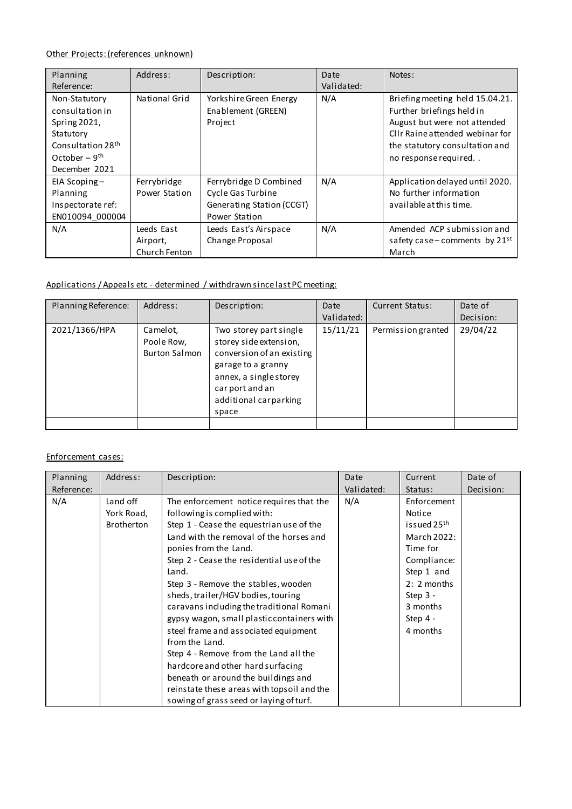## Other Projects: (references unknown)

| Planning<br>Reference:                                                                                                             | Address:                                | Description:                                                                              | Date<br>Validated: | Notes:                                                                                                                                                                                    |
|------------------------------------------------------------------------------------------------------------------------------------|-----------------------------------------|-------------------------------------------------------------------------------------------|--------------------|-------------------------------------------------------------------------------------------------------------------------------------------------------------------------------------------|
| Non-Statutory<br>consultation in<br>Spring 2021,<br>Statutory<br>Consultation 28 <sup>th</sup><br>October – $9th$<br>December 2021 | National Grid                           | Yorkshire Green Energy<br>Enablement (GREEN)<br>Project                                   | N/A                | Briefing meeting held 15.04.21.<br>Further briefings held in<br>August but were not attended<br>Cllr Raine attended webinar for<br>the statutory consultation and<br>no response required |
| EIA Scoping-<br>Planning<br>Inspectorate ref:<br>EN010094 000004                                                                   | Ferrybridge<br>Power Station            | Ferrybridge D Combined<br>Cycle Gas Turbine<br>Generating Station (CCGT)<br>Power Station | N/A                | Application delayed until 2020.<br>No further information<br>available at this time.                                                                                                      |
| N/A                                                                                                                                | Leeds East<br>Airport,<br>Church Fenton | Leeds East's Airspace<br>Change Proposal                                                  | N/A                | Amended ACP submission and<br>safety case – comments by $21^{st}$<br>March                                                                                                                |

## Applications / Appeals etc - determined / withdrawn since last PC meeting:

| Planning Reference: | Address:                                       | Description:                                                                                                                                                                       | Date       | <b>Current Status:</b> | Date of   |
|---------------------|------------------------------------------------|------------------------------------------------------------------------------------------------------------------------------------------------------------------------------------|------------|------------------------|-----------|
|                     |                                                |                                                                                                                                                                                    | Validated: |                        | Decision: |
| 2021/1366/HPA       | Camelot,<br>Poole Row,<br><b>Burton Salmon</b> | Two storey part single<br>storey side extension,<br>conversion of an existing<br>garage to a granny<br>annex, a single storey<br>car port and an<br>additional carparking<br>space | 15/11/21   | Permission granted     | 29/04/22  |
|                     |                                                |                                                                                                                                                                                    |            |                        |           |

## Enforcement cases:

| Planning   | Address:          | Description:                               | Date       | Current                 | Date of   |
|------------|-------------------|--------------------------------------------|------------|-------------------------|-----------|
| Reference: |                   |                                            | Validated: | Status:                 | Decision: |
| N/A        | Land off          | The enforcement notice requires that the   | N/A        | Enforcement             |           |
|            | York Road,        | following is complied with:                |            | Notice                  |           |
|            | <b>Brotherton</b> | Step 1 - Cease the equestrian use of the   |            | issued 25 <sup>th</sup> |           |
|            |                   | Land with the removal of the horses and    |            | March 2022:             |           |
|            |                   | ponies from the Land.                      |            | Time for                |           |
|            |                   | Step 2 - Cease the residential use of the  |            | Compliance:             |           |
|            |                   | Land.                                      |            | Step 1 and              |           |
|            |                   | Step 3 - Remove the stables, wooden        |            | $2: 2$ months           |           |
|            |                   | sheds, trailer/HGV bodies, touring         |            | Step $3 -$              |           |
|            |                   | caravans including the traditional Romani  |            | 3 months                |           |
|            |                   | gypsy wagon, small plastic containers with |            | Step $4 -$              |           |
|            |                   | steel frame and associated equipment       |            | 4 months                |           |
|            |                   | from the Land.                             |            |                         |           |
|            |                   | Step 4 - Remove from the Land all the      |            |                         |           |
|            |                   | hardcore and other hard surfacing          |            |                         |           |
|            |                   | beneath or around the buildings and        |            |                         |           |
|            |                   | reinstate these areas with topsoil and the |            |                         |           |
|            |                   | sowing of grass seed or laying of turf.    |            |                         |           |